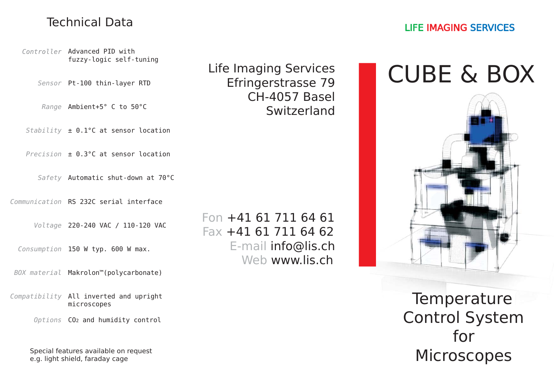#### Technical Data

Controller Advanced PID with fuzzy-logic self-tuning

Pt-100 thin-layer RTD *Sensor*

Ambient+5° C to 50°C *Range*

± 0.1°C at sensor location *Stability*

± 0.3°C at sensor location*Precision*

Safety Automatic shut-down at 70°C

Communication RS 232C serial interface

220-240 VAC / 110-120 VAC *Voltage*

150 W typ. 600 W max. *Consumption*

BOX material Makrolon™(polycarbonate)

Compatibility All inverted and upright microscopes

CO2 and humidity control *Options*

Special features available on request e.g. light shield, faraday cage

Fon +41 61 711 64 61Fax +41 61 711 64 62E-mail info@lis.ch Web www.lis.ch

Life Imaging Services Efringerstrasse 79 CH-4057 BaselSwitzerland

# CUBE & BOX



**Temperature** Control System for**Microscopes**